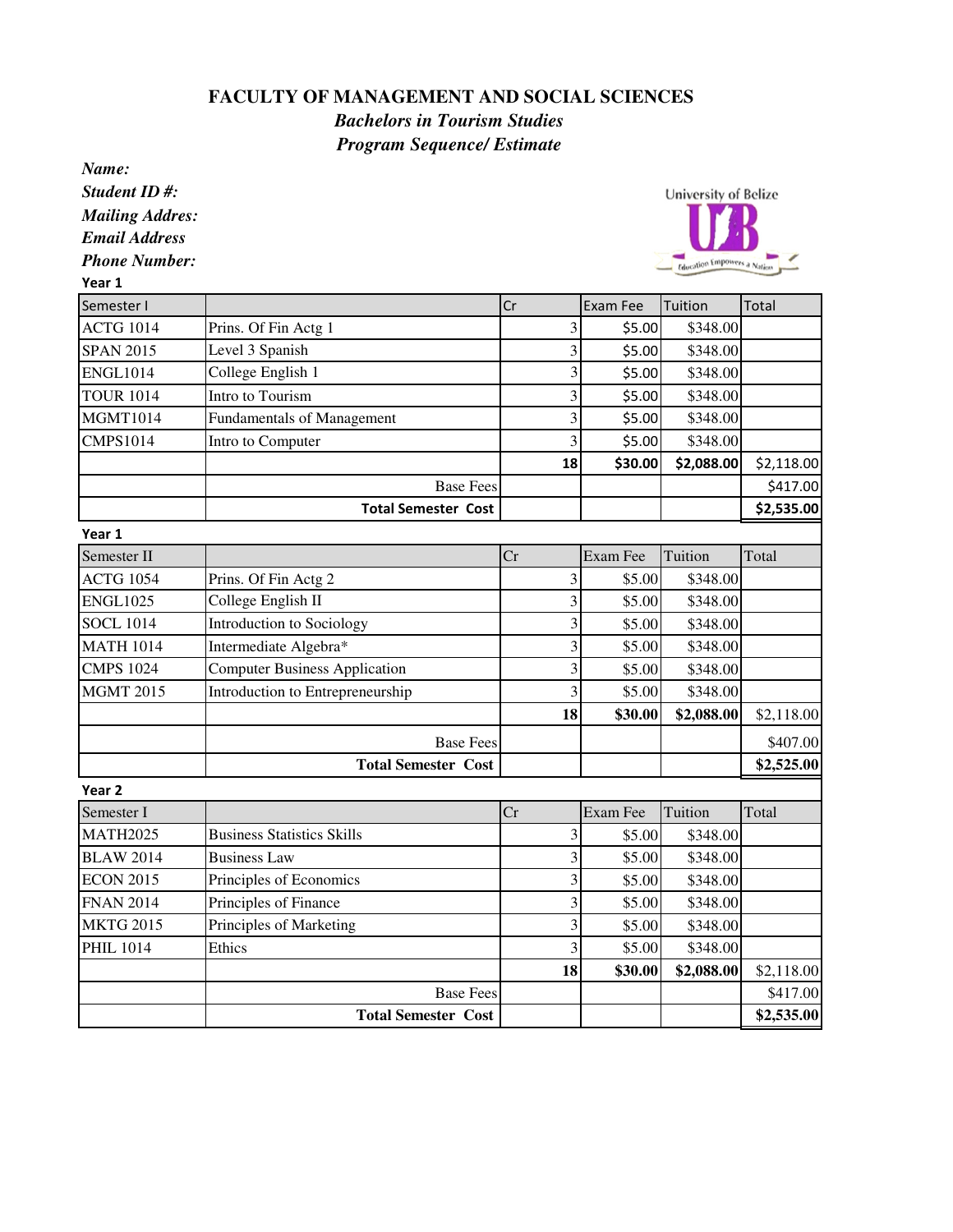## **FACULTY OF MANAGEMENT AND SOCIAL SCIENCES**

*Bachelors in Tourism Studies Program Sequence/ Estimate*

| Name:                  |                                      |                         |          |                             |            |
|------------------------|--------------------------------------|-------------------------|----------|-----------------------------|------------|
| Student ID#:           |                                      |                         |          | <b>University of Belize</b> |            |
| <b>Mailing Addres:</b> |                                      |                         |          |                             |            |
| <b>Email Address</b>   |                                      |                         |          |                             |            |
| <b>Phone Number:</b>   |                                      |                         |          | Education Empowers a Nation |            |
| Year 1                 |                                      |                         |          |                             |            |
| Semester I             |                                      | Cr                      | Exam Fee | Tuition                     | Total      |
| <b>ACTG 1014</b>       | Prins. Of Fin Actg 1                 | 3                       | \$5.00   | \$348.00                    |            |
| <b>SPAN 2015</b>       | Level 3 Spanish                      | 3                       | \$5.00   | \$348.00                    |            |
| <b>ENGL1014</b>        | College English 1                    | $\overline{\mathbf{3}}$ | \$5.00   | \$348.00                    |            |
| <b>TOUR 1014</b>       | Intro to Tourism                     | 3                       | \$5.00   | \$348.00                    |            |
| <b>MGMT1014</b>        | <b>Fundamentals of Management</b>    | 3                       | \$5.00   | \$348.00                    |            |
| <b>CMPS1014</b>        | Intro to Computer                    | 3                       | \$5.00   | \$348.00                    |            |
|                        |                                      | 18                      | \$30.00  | \$2,088.00                  | \$2,118.00 |
|                        | <b>Base Fees</b>                     |                         |          |                             | \$417.00   |
|                        | <b>Total Semester Cost</b>           |                         |          |                             | \$2,535.00 |
| Year 1                 |                                      |                         |          |                             |            |
| Semester II            |                                      | Cr                      | Exam Fee | Tuition                     | Total      |
| <b>ACTG 1054</b>       | Prins. Of Fin Actg 2                 | $\overline{\mathbf{3}}$ | \$5.00   | \$348.00                    |            |
| <b>ENGL1025</b>        | College English II                   | $\overline{\mathbf{3}}$ | \$5.00   | \$348.00                    |            |
| <b>SOCL 1014</b>       | Introduction to Sociology            | 3                       | \$5.00   | \$348.00                    |            |
| <b>MATH 1014</b>       | Intermediate Algebra*                | $\overline{\mathbf{3}}$ | \$5.00   | \$348.00                    |            |
| <b>CMPS 1024</b>       | <b>Computer Business Application</b> | 3                       | \$5.00   | \$348.00                    |            |
| <b>MGMT 2015</b>       | Introduction to Entrepreneurship     | $\overline{\mathbf{3}}$ | \$5.00   | \$348.00                    |            |
|                        |                                      | 18                      | \$30.00  | \$2,088.00                  | \$2,118.00 |
|                        | <b>Base Fees</b>                     |                         |          |                             | \$407.00   |
|                        | <b>Total Semester Cost</b>           |                         |          |                             | \$2,525.00 |
| Year <sub>2</sub>      |                                      |                         |          |                             |            |
| Semester I             |                                      | Cr                      | Exam Fee | Tuition                     | Total      |
| <b>MATH2025</b>        | <b>Business Statistics Skills</b>    | 3                       | \$5.00   | \$348.00                    |            |
| <b>BLAW 2014</b>       | <b>Business Law</b>                  | $\overline{\mathbf{3}}$ | \$5.00   | \$348.00                    |            |
| <b>ECON 2015</b>       | Principles of Economics              | $\overline{3}$          | \$5.00   | \$348.00                    |            |
| <b>FNAN 2014</b>       | Principles of Finance                | $\overline{\mathbf{3}}$ | \$5.00   | \$348.00                    |            |
| <b>MKTG 2015</b>       | Principles of Marketing              | $\overline{\mathbf{3}}$ | \$5.00   | \$348.00                    |            |
| <b>PHIL 1014</b>       | Ethics                               | $\overline{\mathbf{3}}$ | \$5.00   | \$348.00                    |            |
|                        |                                      | 18                      | \$30.00  | \$2,088.00                  | \$2,118.00 |
|                        | <b>Base Fees</b>                     |                         |          |                             | \$417.00   |
|                        | <b>Total Semester Cost</b>           |                         |          |                             | \$2,535.00 |
|                        |                                      |                         |          |                             |            |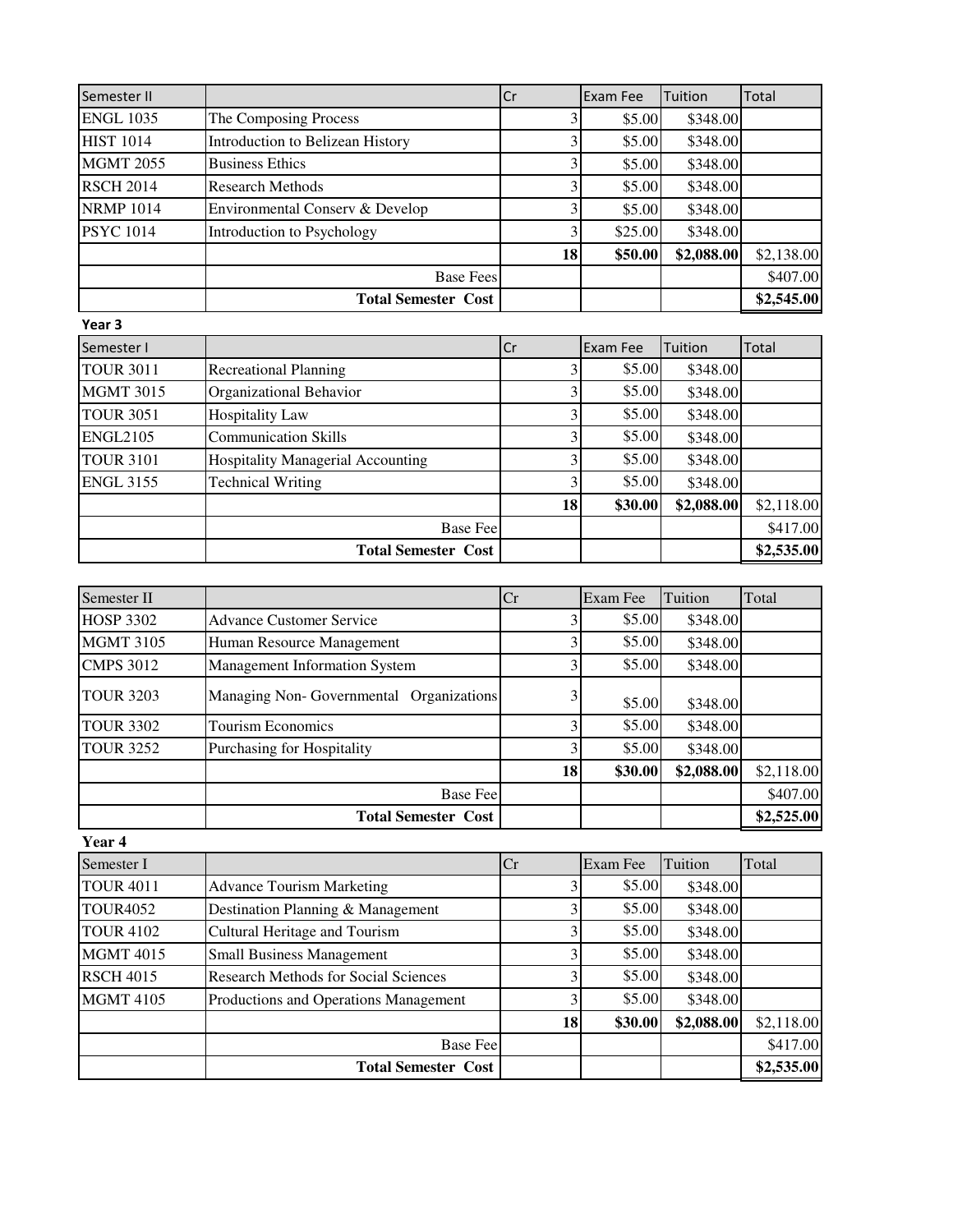| Semester II      |                                   | Cr | Exam Fee | Tuition    | Total      |
|------------------|-----------------------------------|----|----------|------------|------------|
| <b>ENGL 1035</b> | The Composing Process             | 3  | \$5.00   | \$348.00   |            |
| <b>HIST 1014</b> | Introduction to Belizean History  | 3  | \$5.00   | \$348.00   |            |
| <b>MGMT 2055</b> | <b>Business Ethics</b>            | 3  | \$5.00   | \$348.00   |            |
| <b>RSCH 2014</b> | <b>Research Methods</b>           | 3  | \$5.00   | \$348.00   |            |
| <b>NRMP 1014</b> | Environmental Conserv & Develop   | 3  | \$5.00   | \$348.00   |            |
| <b>PSYC 1014</b> | Introduction to Psychology        |    | \$25.00  | \$348.00   |            |
|                  |                                   | 18 | \$50.00  | \$2,088.00 | \$2,138.00 |
|                  | <b>Base Fees</b>                  |    |          |            | \$407.00   |
|                  | <b>Total Semester Cost</b>        |    |          |            | \$2,545.00 |
| Year 3           |                                   |    |          |            |            |
| Semester I       |                                   | Cr | Exam Fee | Tuition    | Total      |
| <b>TOUR 3011</b> | <b>Recreational Planning</b>      | 3  | \$5.00   | \$348.00   |            |
| <b>MGMT 3015</b> | Organizational Behavior           | 3  | \$5.00   | \$348.00   |            |
| <b>TOUR 3051</b> | <b>Hospitality Law</b>            | 3  | \$5.00   | \$348.00   |            |
| <b>ENGL2105</b>  | <b>Communication Skills</b>       | 3  | \$5.00   | \$348.00   |            |
| <b>TOUR 3101</b> | Hospitality Managerial Accounting | 3  | \$5.00   | \$348.00   |            |
| <b>ENGL 3155</b> | <b>Technical Writing</b>          |    | \$5.00   | \$348.00   |            |
|                  |                                   | 18 | \$30.00  | \$2,088.00 | \$2,118.00 |
|                  | <b>Base Fee</b>                   |    |          |            | \$417.00   |
|                  | <b>Total Semester Cost</b>        |    |          |            | \$2,535.00 |

| Semester II      |                                         | Cr | Exam Fee | Tuition    | Total      |
|------------------|-----------------------------------------|----|----------|------------|------------|
| <b>HOSP 3302</b> | Advance Customer Service                |    | \$5.00   | \$348.00   |            |
| <b>MGMT 3105</b> | Human Resource Management               |    | \$5.00   | \$348.00   |            |
| <b>CMPS 3012</b> | <b>Management Information System</b>    |    | \$5.00   | \$348.00   |            |
| <b>TOUR 3203</b> | Managing Non-Governmental Organizations |    | \$5.00   | \$348.00   |            |
| <b>TOUR 3302</b> | <b>Tourism Economics</b>                |    | \$5.00   | \$348.00   |            |
| <b>TOUR 3252</b> | Purchasing for Hospitality              |    | \$5.00   | \$348.00   |            |
|                  |                                         | 18 | \$30.00  | \$2,088.00 | \$2,118.00 |
|                  | <b>Base Fee</b>                         |    |          |            | \$407.00   |
|                  | <b>Total Semester Cost</b>              |    |          |            | \$2,525.00 |

**Year 4**

| Semester I       |                                             | Cr | Exam Fee | Tuition    | Total      |
|------------------|---------------------------------------------|----|----------|------------|------------|
| <b>TOUR 4011</b> | <b>Advance Tourism Marketing</b>            |    | \$5.00   | \$348.00   |            |
| <b>TOUR4052</b>  | Destination Planning & Management           |    | \$5.00   | \$348.00   |            |
| <b>TOUR 4102</b> | Cultural Heritage and Tourism               |    | \$5.00   | \$348.00   |            |
| <b>MGMT 4015</b> | <b>Small Business Management</b>            |    | \$5.00   | \$348.00   |            |
| <b>RSCH 4015</b> | <b>Research Methods for Social Sciences</b> |    | \$5.00   | \$348.00   |            |
| <b>MGMT 4105</b> | Productions and Operations Management       |    | \$5.00   | \$348.00   |            |
|                  |                                             | 18 | \$30.00  | \$2,088.00 | \$2,118.00 |
|                  | <b>Base Fee</b>                             |    |          |            | \$417.00   |
|                  | <b>Total Semester Cost</b>                  |    |          |            | \$2,535.00 |